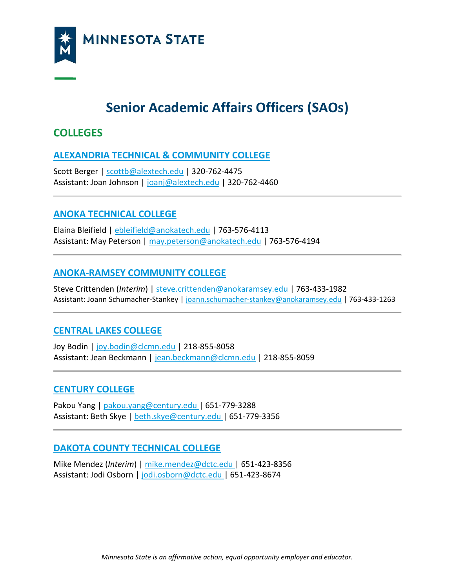

# **Senior Academic Affairs Officers (SAOs)**

# **COLLEGES**

## **[ALEXANDRIA TECHNICAL & COMMUNITY COLLEGE](https://www.alextech.edu/)**

Scott Berger | [scottb@alextech.edu](mailto:scottb@alextech.edu) | 320-762-4475 Assistant: Joan Johnson | [joanj@alextech.edu](mailto:joanj@alextech.edu) | 320-762-4460

# **[ANOKA TECHNICAL COLLEGE](http://www.anokatech.edu/)**

Elaina Bleifield | [ebleifield@anokatech.edu](mailto:ebleifield@anokatech.edu) | 763-576-4113 Assistant: May Peterson | [may.peterson@anokatech.edu](mailto:may.peterson@anokatech.edu) | 763-576-4194

## **[ANOKA-RAMSEY COMMUNITY COLLEGE](http://www.anokaramsey.edu/)**

Steve Crittenden (*Interim*) | [steve.crittenden@anokaramsey.edu](mailto:steve.crittenden@anokaramsey.edu) | 763-433-1982 Assistant: Joann Schumacher-Stankey | [joann.schumacher-stankey@anokaramsey.edu](mailto:joann.schumacher-stankey@anokaramsey.edu) | 763-433-1263

# **[CENTRAL LAKES COLLEGE](http://www.clcmn.edu/)**

Joy Bodin | [joy.bodin@clcmn.edu](mailto:joy.bodin@clcmn.edu) | 218-855-8058 Assistant: Jean Beckmann | [jean.beckmann@clcmn.edu](mailto:jean.beckmann@clcmn.edu) | 218-855-8059

### **[CENTURY COLLEGE](https://www.century.edu/)**

Pakou Yang | [pakou.yang@century.edu |](mailto:pakou.yang@century.edu) 651-779-3288 Assistant: Beth Skye [| beth.skye@century.edu |](mailto:beth.skye@century.edu) 651-779-3356

### **[DAKOTA COUNTY TECHNICAL COLLEGE](https://www.dctc.edu/)**

Mike Mendez (*Interim*) | [mike.mendez@dctc.edu |](mailto:mike.mendez@dctc.edu) 651-423-8356 Assistant: Jodi Osborn | [jodi.osborn@dctc.edu |](mailto:jodi.osborn@dctc.edu) 651-423-8674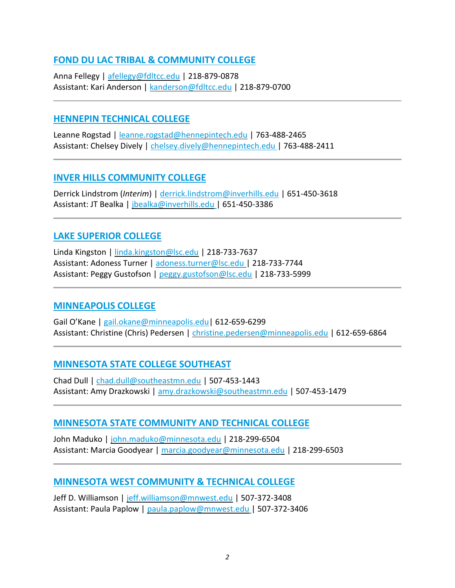## **[FOND DU LAC TRIBAL & COMMUNITY COLLEGE](https://fdltcc.edu/)**

Anna Fellegy | [afellegy@fdltcc.edu](mailto:afellegy@fdltcc.edu) | 218-879-0878 Assistant: Kari Anderson | [kanderson@fdltcc.edu](mailto:kanderson@fdltcc.edu) | 218-879-0700

#### **[HENNEPIN TECHNICAL COLLEGE](https://www.hennepintech.edu/)**

Leanne Rogstad | [leanne.rogstad@hennepintech.edu](mailto:leanne.rogstad@hennepintech.edu) | 763-488-2465 Assistant: Chelsey Dively | [chelsey.dively@hennepintech.edu |](mailto:chelsey.dively@hennepintech.edu) 763-488-2411

#### **[INVER HILLS COMMUNITY COLLEGE](https://www.inverhills.edu/)**

Derrick Lindstrom (*Interim*) | [derrick.lindstrom@inverhills.edu](mailto:derrick.lindstrom@inverhills.edu) | 651-450-3618 Assistant: JT Bealka | [jbealka@inverhills.edu](mailto:jbealka@inverhills.edu) | 651-450-3386

### **[LAKE SUPERIOR COLLEGE](https://www.lsc.edu/)**

Linda Kingston | [linda.kingston@lsc.edu](mailto:linda.kingston@lsc.edu) | 218-733-7637 Assistant: Adoness Turner | [adoness.turner@lsc.edu |](mailto:adoness.turner@lsc.edu) 218-733-7744 Assistant: Peggy Gustofson | [peggy.gustofson@lsc.edu](mailto:peggy.gustofson@lsc.edu) | 218-733-5999

#### **[MINNEAPOLIS COLLEGE](https://minneapolis.edu/)**

Gail O'Kane | [gail.okane@minneapolis.edu|](mailto:gail.okane@minneapolis.edu) 612-659-6299 Assistant: Christine (Chris) Pedersen | [christine.pedersen@minneapolis.edu](mailto:christine.pedersen@minneapolis.edu) | 612-659-6864

# **[MINNESOTA STATE COLLEGE SOUTHEAST](https://www.southeastmn.edu/index.aspx)**

Chad Dull [| chad.dull@southeastmn.edu](mailto:chad.dull@southeastmn.edu) | 507-453-1443 Assistant: Amy Drazkowski | [amy.drazkowski@southeastmn.edu](mailto:amy.drazkowski@southeastmn.edu) | 507-453-1479

### **[MINNESOTA STATE COMMUNITY AND TECHNICAL COLLEGE](https://www.minnesota.edu/)**

John Maduko | [john.maduko@minnesota.edu](mailto:john.maduko@minnesota.edu) | 218-299-6504 Assistant: Marcia Goodyear | [marcia.goodyear@minnesota.edu](mailto:marcia.goodyear@minnesota.edu) | 218-299-6503

# **[MINNESOTA WEST COMMUNITY & TECHNICAL COLLEGE](https://www.mnwest.edu/)**

Jeff D. Williamson | [jeff.williamson@mnwest.edu](mailto:jeff.williamson@mnwest.edu) | 507-372-3408 Assistant: Paula Paplow | [paula.paplow@mnwest.edu](mailto:paula.paplow@mnwest.edu) | 507-372-3406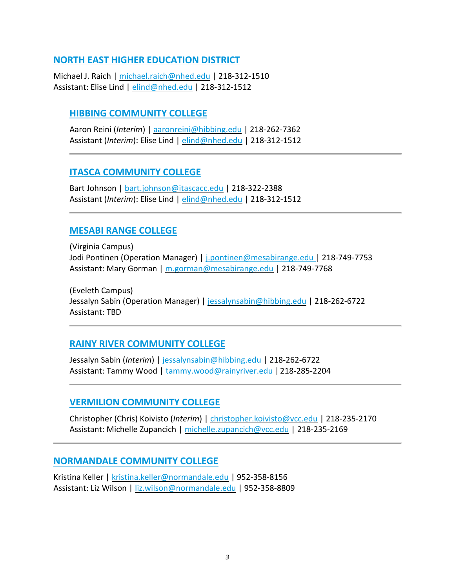## **[NORTH EAST HIGHER EDUCATION DISTRICT](https://www.nhed.edu/)**

Michael J. Raich | [michael.raich@nhed.edu](mailto:michael.raich@nhed.edu) | 218-312-1510 Assistant: Elise Lind | [elind@nhed.edu](mailto:elind@nhed.edu) | 218-312-1512

## **[HIBBING COMMUNITY COLLEGE](https://hibbing.edu/)**

Aaron Reini (*Interim*) | [aaronreini@hibbing.edu](mailto:aaronreini@hibbing.edu) | 218-262-7362 Assistant (*Interim*): Elise Lind | [elind@nhed.edu](mailto:elind@nhed.edu) | 218-312-1512

### **[ITASCA COMMUNITY COLLEGE](https://www.itascacc.edu/)**

Bart Johnson | [bart.johnson@itascacc.edu](mailto:bart.johnson@itascacc.edu) | 218-322-2388 Assistant (*Interim*): Elise Lind | [elind@nhed.edu](mailto:elind@nhed.edu) | 218-312-1512

### **[MESABI RANGE COLLEGE](https://www.mesabirange.edu/)**

(Virginia Campus) Jodi Pontinen (Operation Manager) | [j.pontinen@mesabirange.edu |](mailto:j.pontinen@mesabirange.edu) 218-749-7753 Assistant: Mary Gorman | [m.gorman@mesabirange.edu](mailto:m.gorman@mesabirange.edu) | 218-749-7768

(Eveleth Campus) Jessalyn Sabin (Operation Manager) | [jessalynsabin@hibbing.edu](mailto:roxanne.kelly@rainyriver.edu) | 218-262-6722 Assistant: TBD

### **[RAINY RIVER COMMUNITY COLLEGE](https://www.rainyriver.edu/)**

Jessalyn Sabin (*Interim*) [| jessalynsabin@hibbing.edu](mailto:roxanne.kelly@rainyriver.edu) | 218-262-6722 Assistant: Tammy Wood | [tammy.wood@rainyriver.edu](mailto:tammy.wood@rainyriver.edu) |218-285-2204

### **[VERMILION COMMUNITY COLLEGE](https://www.vcc.edu/)**

Christopher (Chris) Koivisto (*Interim*) | [christopher.koivisto@vcc.edu](mailto:christopher.koivisto@vcc.edu) | 218-235-2170 Assistant: Michelle Zupancich | [michelle.zupancich@vcc.edu](mailto:michelle.zupancich@vcc.edu) | 218-235-2169

### **[NORMANDALE COMMUNITY COLLEGE](https://www.normandale.edu/)**

Kristina Keller | [kristina.keller@normandale.edu](mailto:kristina.keller@normandale.edu) | 952-358-8156 Assistant: Liz Wilson | [liz.wilson@normandale.edu](mailto:liz.wilson@normandale.edu) | 952-358-8809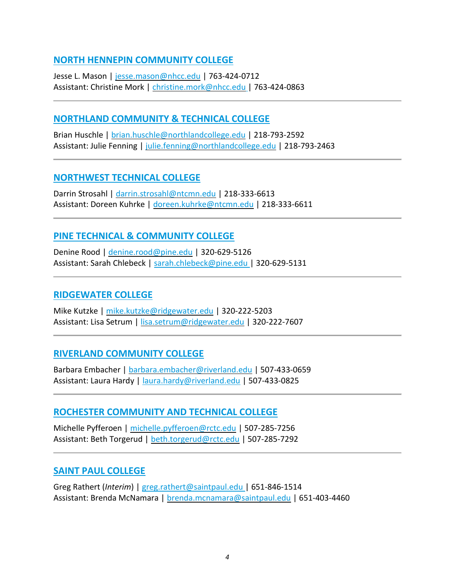## **[NORTH HENNEPIN COMMUNITY COLLEGE](https://www.nhcc.edu/)**

Jesse L. Mason | [jesse.mason@nhcc.edu](mailto:jesse.mason@nhcc.edu) | 763-424-0712 Assistant: Christine Mork | [christine.mork@nhcc.edu](mailto:christine.mork@nhcc.edu) | 763-424-0863

### **[NORTHLAND COMMUNITY & TECHNICAL COLLEGE](http://www.northlandcollege.edu/)**

Brian Huschle | [brian.huschle@northlandcollege.edu](mailto:brian.huschle@northlandcollege.edu) | 218-793-2592 Assistant: Julie Fenning | [julie.fenning@northlandcollege.edu](mailto:julie.fenning@northlandcollege.edu) | 218-793-2463

#### **[NORTHWEST TECHNICAL COLLEGE](https://www.ntcmn.edu/)**

Darrin Strosahl | [darrin.strosahl@ntcmn.edu](mailto:darrin.strosahl@ntcmn.edu) | 218-333-6613 Assistant: Doreen Kuhrke | [doreen.kuhrke@ntcmn.edu](mailto:doreen.kuhrke@ntcmn.edu) | 218-333-6611

## **[PINE TECHNICAL & COMMUNITY COLLEGE](https://www.pine.edu/)**

Denine Rood | [denine.rood@pine.edu](mailto:denine.rood@pine.edu) | 320-629-5126 Assistant: Sarah Chlebeck | [sarah.chlebeck@pine.edu |](mailto:sarah.chlebeck@pine.edu) 320-629-5131

#### **[RIDGEWATER COLLEGE](https://www.ridgewater.edu/)**

Mike Kutzke | [mike.kutzke@ridgewater.edu](mailto:mike.kutzke@ridgewater.edu) | 320-222-5203 Assistant: Lisa Setrum | [lisa.setrum@ridgewater.edu](mailto:lisa.setrum@ridgewater.edu) | 320-222-7607

### **[RIVERLAND COMMUNITY COLLEGE](https://www.riverland.edu/)**

Barbara Embacher | [barbara.embacher@riverland.edu](mailto:barbara.embacher@riverland.edu) | 507-433-0659 Assistant: Laura Hardy | [laura.hardy@riverland.edu](mailto:laura.hardy@riverland.edu) | 507-433-0825

### **[ROCHESTER COMMUNITY AND TECHNICAL COLLEGE](https://www.rctc.edu/)**

Michelle Pyfferoen | [michelle.pyfferoen@rctc.edu](mailto:michelle.pyfferoen@rctc.edu) | 507-285-7256 Assistant: Beth Torgerud | [beth.torgerud@rctc.edu](mailto:beth.torgerud@rctc.edu) | 507-285-7292

### **[SAINT PAUL COLLEGE](https://www.saintpaul.edu/)**

Greg Rathert (*Interim*) | [greg.rathert@saintpaul.edu |](mailto:greg.rathert@saintpaul.edu) 651-846-1514 Assistant: Brenda McNamara | [brenda.mcnamara@saintpaul.edu](mailto:brenda.mcnamara@saintpaul.edu) | 651-403-4460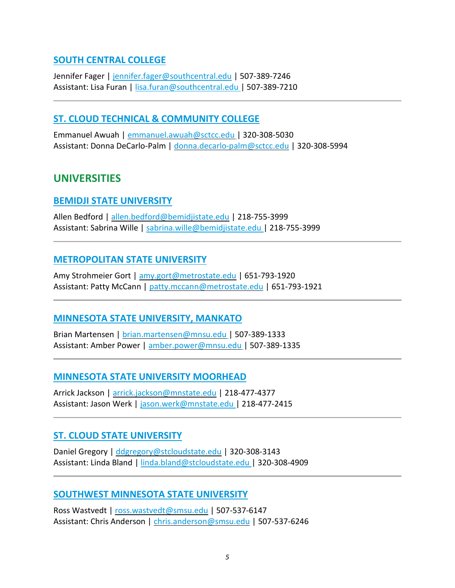## **[SOUTH CENTRAL COLLEGE](https://southcentral.edu/)**

Jennifer Fager [| jennifer.fager@southcentral.edu](mailto:jennifer.fager@southcentral.edu) | 507-389-7246 Assistant: Lisa Furan | [lisa.furan@southcentral.edu |](mailto:lisa.furan@southcentral.edu) 507-389-7210

### **[ST. CLOUD TECHNICAL & COMMUNITY COLLEGE](https://www.sctcc.edu/)**

Emmanuel Awuah [| emmanuel.awuah@sctcc.edu](mailto:emmanuel.awuah@sctcc.edu) | 320-308-5030 Assistant: Donna DeCarlo-Palm | [donna.decarlo-palm@sctcc.edu](mailto:donna.decarlo-palm@sctcc.edu) | 320-308-5994

# **UNIVERSITIES**

#### **[BEMIDJI STATE UNIVERSITY](https://www.bemidjistate.edu/)**

Allen Bedford [| allen.bedford@bemidjistate.edu](mailto:allen.bedford@bemidjistate.edu) | 218-755-3999 Assistant: Sabrina Wille | [sabrina.wille@bemidjistate.edu |](mailto:sabrina.wille@bemidjistate.edu) 218-755-3999

### **[METROPOLITAN STATE UNIVERSITY](https://www.metrostate.edu/)**

Amy Strohmeier Gort | [amy.gort@metrostate.edu](mailto:amy.gort@metrostate.edu) | 651-793-1920 Assistant: Patty McCann | [patty.mccann@metrostate.edu](mailto:patty.mccann@metrostate.edu) | 651-793-1921

### **[MINNESOTA STATE UNIVERSITY, MANKATO](https://mankato.mnsu.edu/)**

Brian Martensen | [brian.martensen@mnsu.edu](mailto:brian.martensen@mnsu.edu) | 507-389-1333 Assistant: Amber Power | [amber.power@mnsu.edu](mailto:amber.power@mnsu.edu) | 507-389-1335

### **[MINNESOTA STATE UNIVERSITY MOORHEAD](https://www.mnstate.edu/)**

Arrick Jackson [| arrick.jackson@mnstate.edu](mailto:arrick.jackson@mnstate.edu) | 218-477-4377 Assistant: Jason Werk | [jason.werk@mnstate.edu |](mailto:jason.werk@mnstate.edu) 218-477-2415

### **[ST. CLOUD STATE UNIVERSITY](https://www.stcloudstate.edu/)**

Daniel Gregory | [ddgregory@stcloudstate.edu](mailto:ddgregory@stcloudstate.edu) | 320-308-3143 Assistant: Linda Bland | [linda.bland@stcloudstate.edu |](mailto:linda.bland@stcloudstate.edu) 320-308-4909

#### **[SOUTHWEST MINNESOTA STATE UNIVERSITY](https://www.smsu.edu/)**

Ross Wastvedt [| ross.wastvedt@smsu.edu](mailto:ross.wastvedt@smsu.edu) | 507-537-6147 Assistant: Chris Anderson | [chris.anderson@smsu.edu](mailto:chris.anderson@smsu.edu) | 507-537-6246